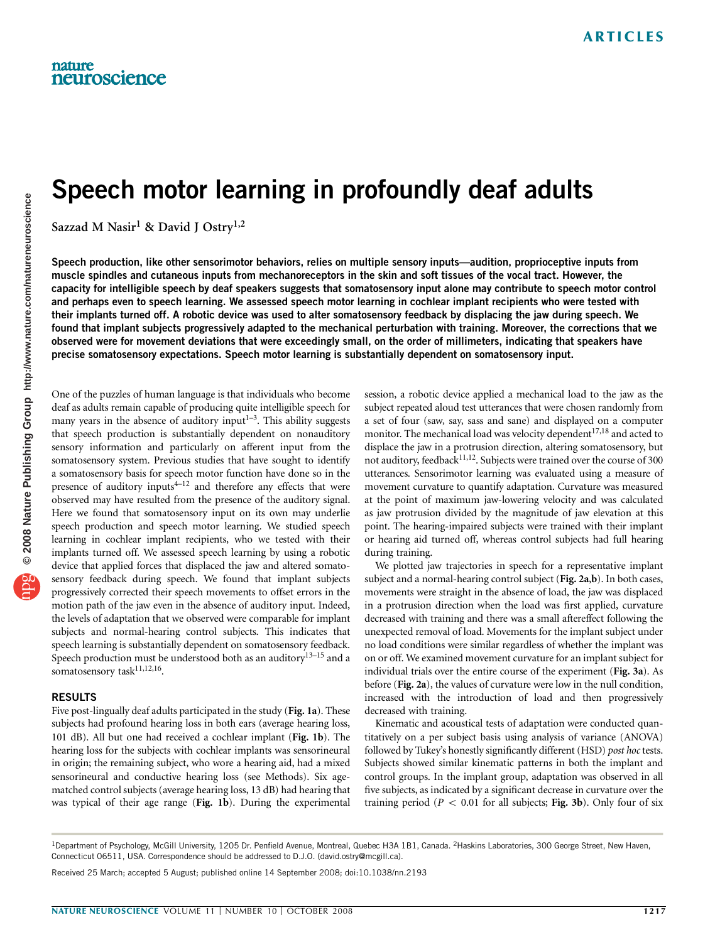# Speech motor learning in profoundly deaf adults

Sazzad M Nasir<sup>1</sup> & David J Ostry<sup>1,2</sup>

Speech production, like other sensorimotor behaviors, relies on multiple sensory inputs—audition, proprioceptive inputs from muscle spindles and cutaneous inputs from mechanoreceptors in the skin and soft tissues of the vocal tract. However, the capacity for intelligible speech by deaf speakers suggests that somatosensory input alone may contribute to speech motor control and perhaps even to speech learning. We assessed speech motor learning in cochlear implant recipients who were tested with their implants turned off. A robotic device was used to alter somatosensory feedback by displacing the jaw during speech. We found that implant subjects progressively adapted to the mechanical perturbation with training. Moreover, the corrections that we observed were for movement deviations that were exceedingly small, on the order of millimeters, indicating that speakers have precise somatosensory expectations. Speech motor learning is substantially dependent on somatosensory input.

One of the puzzles of human language is that individuals who become deaf as adults remain capable of producing quite intelligible speech for many years in the absence of auditory input<sup> $1-3$ </sup>. This ability suggests that speech production is substantially dependent on nonauditory sensory information and particularly on afferent input from the somatosensory system. Previous studies that have sought to identify a somatosensory basis for speech motor function have done so in the presence of auditory inputs $4-12$  and therefore any effects that were observed may have resulted from the presence of the auditory signal. Here we found that somatosensory input on its own may underlie speech production and speech motor learning. We studied speech learning in cochlear implant recipients, who we tested with their implants turned off. We assessed speech learning by using a robotic device that applied forces that displaced the jaw and altered somatosensory feedback during speech. We found that implant subjects progressively corrected their speech movements to offset errors in the motion path of the jaw even in the absence of auditory input. Indeed, the levels of adaptation that we observed were comparable for implant subjects and normal-hearing control subjects. This indicates that speech learning is substantially dependent on somatosensory feedback. Speech production must be understood both as an auditory<sup>13-15</sup> and a somatosensory task<sup>11,12,16</sup>.

## RESULTS

Five post-lingually deaf adults participated in the study (Fig. 1a). These subjects had profound hearing loss in both ears (average hearing loss, 101 dB). All but one had received a cochlear implant (Fig. 1b). The hearing loss for the subjects with cochlear implants was sensorineural in origin; the remaining subject, who wore a hearing aid, had a mixed sensorineural and conductive hearing loss (see Methods). Six agematched control subjects (average hearing loss, 13 dB) had hearing that was typical of their age range (Fig. 1b). During the experimental

session, a robotic device applied a mechanical load to the jaw as the subject repeated aloud test utterances that were chosen randomly from a set of four (saw, say, sass and sane) and displayed on a computer monitor. The mechanical load was velocity dependent<sup>[17,18](#page-5-0)</sup> and acted to displace the jaw in a protrusion direction, altering somatosensory, but not auditory, feedback<sup>11,12</sup>. Subjects were trained over the course of 300 utterances. Sensorimotor learning was evaluated using a measure of movement curvature to quantify adaptation. Curvature was measured at the point of maximum jaw-lowering velocity and was calculated as jaw protrusion divided by the magnitude of jaw elevation at this point. The hearing-impaired subjects were trained with their implant or hearing aid turned off, whereas control subjects had full hearing during training.

We plotted jaw trajectories in speech for a representative implant subject and a normal-hearing control subject (Fig. 2a,b). In both cases, movements were straight in the absence of load, the jaw was displaced in a protrusion direction when the load was first applied, curvature decreased with training and there was a small aftereffect following the unexpected removal of load. Movements for the implant subject under no load conditions were similar regardless of whether the implant was on or off. We examined movement curvature for an implant subject for individual trials over the entire course of the experiment (Fig. 3a). As before (Fig. 2a), the values of curvature were low in the null condition, increased with the introduction of load and then progressively decreased with training.

Kinematic and acoustical tests of adaptation were conducted quantitatively on a per subject basis using analysis of variance (ANOVA) followed by Tukey's honestly significantly different (HSD) post hoc tests. Subjects showed similar kinematic patterns in both the implant and control groups. In the implant group, adaptation was observed in all five subjects, as indicated by a significant decrease in curvature over the training period ( $P < 0.01$  for all subjects; Fig. 3b). Only four of six

Received 25 March; accepted 5 August; published online 14 September 2008; [doi:10.1038/nn.2193](http://www.nature.com/doifinder/10.1038/nn.2193)

<sup>&</sup>lt;sup>1</sup>Department of Psychology, McGill University, 1205 Dr. Penfield Avenue, Montreal, Quebec H3A 1B1, Canada. <sup>2</sup>Haskins Laboratories, 300 George Street, New Haven, Connecticut 06511, USA. Correspondence should be addressed to D.J.O. [\(david.ostry@mcgill.ca\)](mailto:david.ostry@mcgill.ca).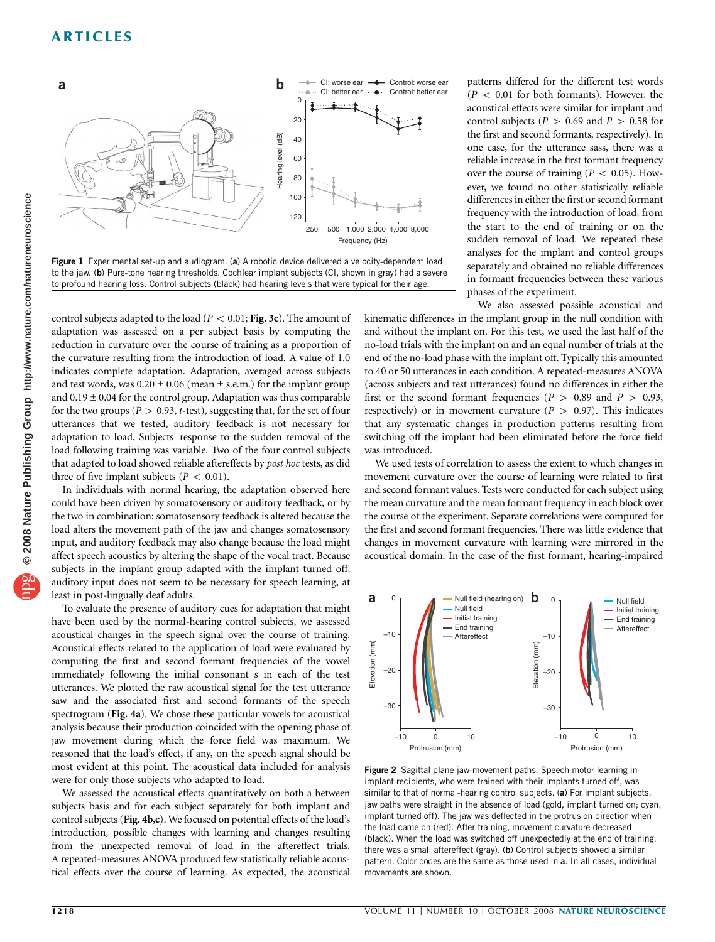

Figure 1 Experimental set-up and audiogram. (a) A robotic device delivered a velocity-dependent load to the jaw. (b) Pure-tone hearing thresholds. Cochlear implant subjects (CI, shown in gray) had a severe to profound hearing loss. Control subjects (black) had hearing levels that were typical for their age.

control subjects adapted to the load ( $P < 0.01$ ; Fig. 3c). The amount of adaptation was assessed on a per subject basis by computing the reduction in curvature over the course of training as a proportion of the curvature resulting from the introduction of load. A value of 1.0 indicates complete adaptation. Adaptation, averaged across subjects and test words, was  $0.20 \pm 0.06$  (mean  $\pm$  s.e.m.) for the implant group and  $0.19 \pm 0.04$  for the control group. Adaptation was thus comparable for the two groups ( $P > 0.93$ , t-test), suggesting that, for the set of four utterances that we tested, auditory feedback is not necessary for adaptation to load. Subjects' response to the sudden removal of the load following training was variable. Two of the four control subjects that adapted to load showed reliable aftereffects by post hoc tests, as did three of five implant subjects ( $P < 0.01$ ).

In individuals with normal hearing, the adaptation observed here could have been driven by somatosensory or auditory feedback, or by the two in combination: somatosensory feedback is altered because the load alters the movement path of the jaw and changes somatosensory input, and auditory feedback may also change because the load might affect speech acoustics by altering the shape of the vocal tract. Because subjects in the implant group adapted with the implant turned off, auditory input does not seem to be necessary for speech learning, at least in post-lingually deaf adults.

To evaluate the presence of auditory cues for adaptation that might have been used by the normal-hearing control subjects, we assessed acoustical changes in the speech signal over the course of training. Acoustical effects related to the application of load were evaluated by computing the first and second formant frequencies of the vowel immediately following the initial consonant s in each of the test utterances. We plotted the raw acoustical signal for the test utterance saw and the associated first and second formants of the speech spectrogram (Fig. 4a). We chose these particular vowels for acoustical analysis because their production coincided with the opening phase of jaw movement during which the force field was maximum. We reasoned that the load's effect, if any, on the speech signal should be most evident at this point. The acoustical data included for analysis were for only those subjects who adapted to load.

We assessed the acoustical effects quantitatively on both a between subjects basis and for each subject separately for both implant and control subjects (Fig. 4b,c). We focused on potential effects of the load's introduction, possible changes with learning and changes resulting from the unexpected removal of load in the aftereffect trials. A repeated-measures ANOVA produced few statistically reliable acoustical effects over the course of learning. As expected, the acoustical

patterns differed for the different test words  $(P < 0.01$  for both formants). However, the acoustical effects were similar for implant and control subjects ( $P > 0.69$  and  $P > 0.58$  for the first and second formants, respectively). In one case, for the utterance sass, there was a reliable increase in the first formant frequency over the course of training ( $P < 0.05$ ). However, we found no other statistically reliable differences in either the first or second formant frequency with the introduction of load, from the start to the end of training or on the sudden removal of load. We repeated these analyses for the implant and control groups separately and obtained no reliable differences in formant frequencies between these various phases of the experiment.

We also assessed possible acoustical and

kinematic differences in the implant group in the null condition with and without the implant on. For this test, we used the last half of the no-load trials with the implant on and an equal number of trials at the end of the no-load phase with the implant off. Typically this amounted to 40 or 50 utterances in each condition. A repeated-measures ANOVA (across subjects and test utterances) found no differences in either the first or the second formant frequencies ( $P > 0.89$  and  $P > 0.93$ , respectively) or in movement curvature ( $P > 0.97$ ). This indicates that any systematic changes in production patterns resulting from switching off the implant had been eliminated before the force field was introduced.

We used tests of correlation to assess the extent to which changes in movement curvature over the course of learning were related to first and second formant values. Tests were conducted for each subject using the mean curvature and the mean formant frequency in each block over the course of the experiment. Separate correlations were computed for the first and second formant frequencies. There was little evidence that changes in movement curvature with learning were mirrored in the acoustical domain. In the case of the first formant, hearing-impaired



Figure 2 Sagittal plane jaw-movement paths. Speech motor learning in implant recipients, who were trained with their implants turned off, was similar to that of normal-hearing control subjects. (a) For implant subjects, jaw paths were straight in the absence of load (gold, implant turned on; cyan, implant turned off). The jaw was deflected in the protrusion direction when the load came on (red). After training, movement curvature decreased (black). When the load was switched off unexpectedly at the end of training, there was a small aftereffect (gray). (b) Control subjects showed a similar pattern. Color codes are the same as those used in a. In all cases, individual movements are shown.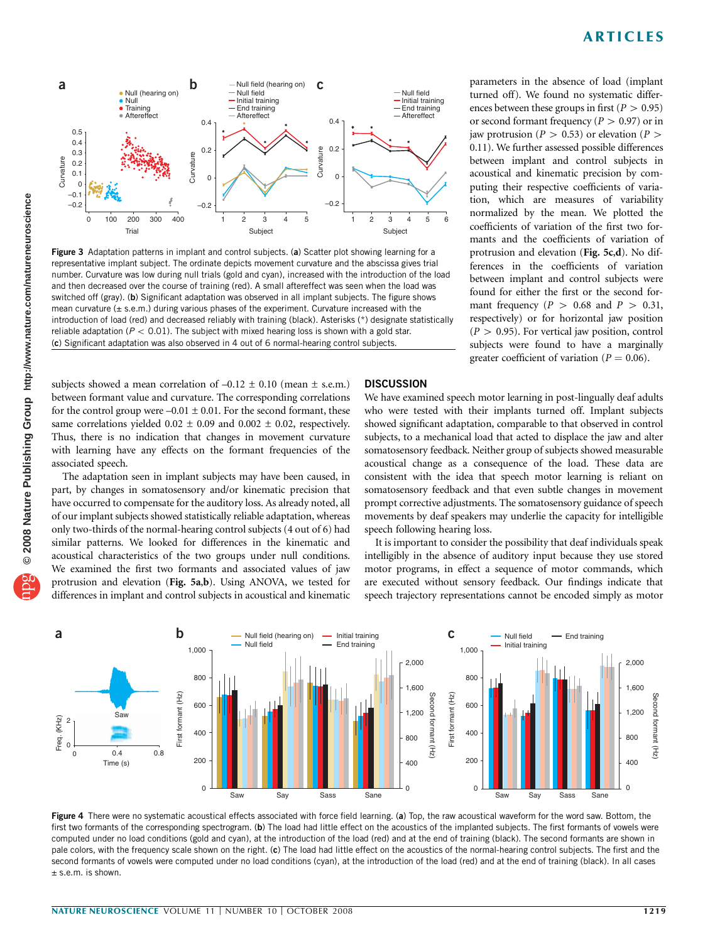## ARTICLES



Figure 3 Adaptation patterns in implant and control subjects. (a) Scatter plot showing learning for a representative implant subject. The ordinate depicts movement curvature and the abscissa gives trial number. Curvature was low during null trials (gold and cyan), increased with the introduction of the load and then decreased over the course of training (red). A small aftereffect was seen when the load was switched off (gray). (b) Significant adaptation was observed in all implant subjects. The figure shows mean curvature  $(\pm$  s.e.m.) during various phases of the experiment. Curvature increased with the introduction of load (red) and decreased reliably with training (black). Asterisks (\*) designate statistically reliable adaptation ( $P < 0.01$ ). The subject with mixed hearing loss is shown with a gold star. (c) Significant adaptation was also observed in 4 out of 6 normal-hearing control subjects.

subjects showed a mean correlation of  $-0.12 \pm 0.10$  (mean  $\pm$  s.e.m.) between formant value and curvature. The corresponding correlations for the control group were  $-0.01 \pm 0.01$ . For the second formant, these same correlations yielded  $0.02 \pm 0.09$  and  $0.002 \pm 0.02$ , respectively. Thus, there is no indication that changes in movement curvature with learning have any effects on the formant frequencies of the associated speech.

The adaptation seen in implant subjects may have been caused, in part, by changes in somatosensory and/or kinematic precision that have occurred to compensate for the auditory loss. As already noted, all of our implant subjects showed statistically reliable adaptation, whereas only two-thirds of the normal-hearing control subjects (4 out of 6) had similar patterns. We looked for differences in the kinematic and acoustical characteristics of the two groups under null conditions. We examined the first two formants and associated values of jaw protrusion and elevation (Fig. 5a,b). Using ANOVA, we tested for differences in implant and control subjects in acoustical and kinematic

parameters in the absence of load (implant turned off). We found no systematic differences between these groups in first ( $P > 0.95$ ) or second formant frequency ( $P > 0.97$ ) or in jaw protrusion ( $P > 0.53$ ) or elevation ( $P > 0.53$ ) 0.11). We further assessed possible differences between implant and control subjects in acoustical and kinematic precision by computing their respective coefficients of variation, which are measures of variability normalized by the mean. We plotted the coefficients of variation of the first two formants and the coefficients of variation of protrusion and elevation (Fig. 5c,d). No differences in the coefficients of variation between implant and control subjects were found for either the first or the second formant frequency ( $P > 0.68$  and  $P > 0.31$ , respectively) or for horizontal jaw position  $(P > 0.95)$ . For vertical jaw position, control subjects were found to have a marginally greater coefficient of variation ( $P = 0.06$ ).

## **DISCUSSION**

We have examined speech motor learning in post-lingually deaf adults who were tested with their implants turned off. Implant subjects showed significant adaptation, comparable to that observed in control subjects, to a mechanical load that acted to displace the jaw and alter somatosensory feedback. Neither group of subjects showed measurable acoustical change as a consequence of the load. These data are consistent with the idea that speech motor learning is reliant on somatosensory feedback and that even subtle changes in movement prompt corrective adjustments. The somatosensory guidance of speech movements by deaf speakers may underlie the capacity for intelligible speech following hearing loss.

It is important to consider the possibility that deaf individuals speak intelligibly in the absence of auditory input because they use stored motor programs, in effect a sequence of motor commands, which are executed without sensory feedback. Our findings indicate that speech trajectory representations cannot be encoded simply as motor



Figure 4 There were no systematic acoustical effects associated with force field learning. (a) Top, the raw acoustical waveform for the word saw. Bottom, the first two formants of the corresponding spectrogram. (b) The load had little effect on the acoustics of the implanted subjects. The first formants of vowels were computed under no load conditions (gold and cyan), at the introduction of the load (red) and at the end of training (black). The second formants are shown in pale colors, with the frequency scale shown on the right. (c) The load had little effect on the acoustics of the normal-hearing control subjects. The first and the second formants of vowels were computed under no load conditions (cyan), at the introduction of the load (red) and at the end of training (black). In all cases ± s.e.m. is shown.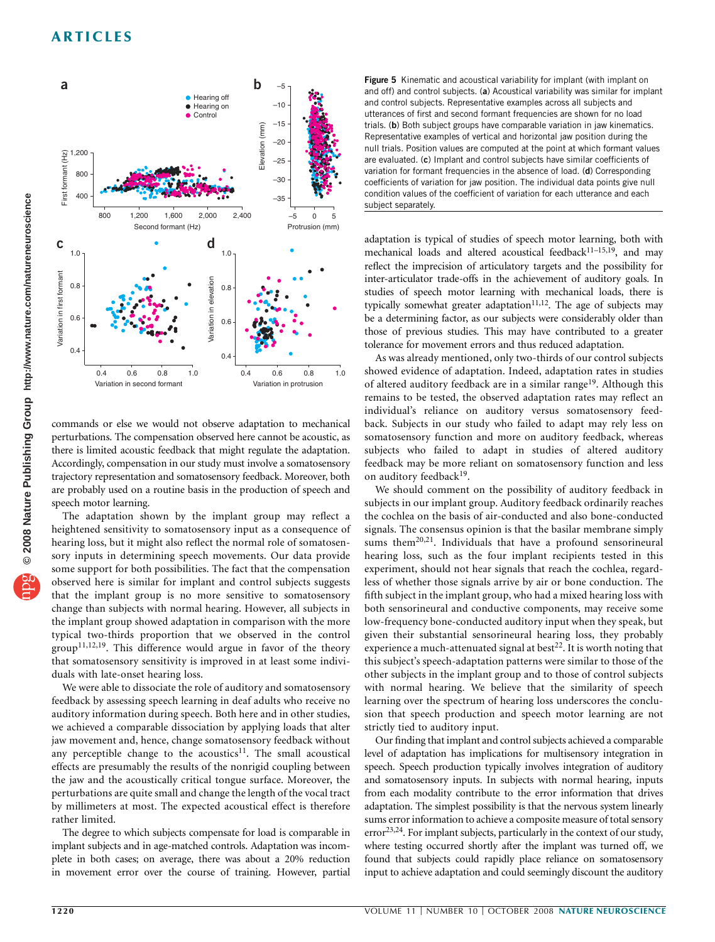

commands or else we would not observe adaptation to mechanical perturbations. The compensation observed here cannot be acoustic, as there is limited acoustic feedback that might regulate the adaptation. Accordingly, compensation in our study must involve a somatosensory trajectory representation and somatosensory feedback. Moreover, both are probably used on a routine basis in the production of speech and speech motor learning.

The adaptation shown by the implant group may reflect a heightened sensitivity to somatosensory input as a consequence of hearing loss, but it might also reflect the normal role of somatosensory inputs in determining speech movements. Our data provide some support for both possibilities. The fact that the compensation observed here is similar for implant and control subjects suggests that the implant group is no more sensitive to somatosensory change than subjects with normal hearing. However, all subjects in the implant group showed adaptation in comparison with the more typical two-thirds proportion that we observed in the control  $group^{11,12,19}$ . This difference would argue in favor of the theory that somatosensory sensitivity is improved in at least some individuals with late-onset hearing loss.

We were able to dissociate the role of auditory and somatosensory feedback by assessing speech learning in deaf adults who receive no auditory information during speech. Both here and in other studies, we achieved a comparable dissociation by applying loads that alter jaw movement and, hence, change somatosensory feedback without any perceptible change to the acoustics<sup>11</sup>. The small acoustical effects are presumably the results of the nonrigid coupling between the jaw and the acoustically critical tongue surface. Moreover, the perturbations are quite small and change the length of the vocal tract by millimeters at most. The expected acoustical effect is therefore rather limited.

The degree to which subjects compensate for load is comparable in implant subjects and in age-matched controls. Adaptation was incomplete in both cases; on average, there was about a 20% reduction in movement error over the course of training. However, partial



adaptation is typical of studies of speech motor learning, both with mechanical loads and altered acoustical feedback $11-15,19$ , and may reflect the imprecision of articulatory targets and the possibility for inter-articulator trade-offs in the achievement of auditory goals. In studies of speech motor learning with mechanical loads, there is typically somewhat greater adaptation<sup>11,12</sup>. The age of subjects may be a determining factor, as our subjects were considerably older than those of previous studies. This may have contributed to a greater tolerance for movement errors and thus reduced adaptation.

As was already mentioned, only two-thirds of our control subjects showed evidence of adaptation. Indeed, adaptation rates in studies of altered auditory feedback are in a similar range<sup>[19](#page-5-0)</sup>. Although this remains to be tested, the observed adaptation rates may reflect an individual's reliance on auditory versus somatosensory feedback. Subjects in our study who failed to adapt may rely less on somatosensory function and more on auditory feedback, whereas subjects who failed to adapt in studies of altered auditory feedback may be more reliant on somatosensory function and less on auditory feedback<sup>[19](#page-5-0)</sup>.

We should comment on the possibility of auditory feedback in subjects in our implant group. Auditory feedback ordinarily reaches the cochlea on the basis of air-conducted and also bone-conducted signals. The consensus opinion is that the basilar membrane simply sums the $m^{20,21}$  $m^{20,21}$  $m^{20,21}$ . Individuals that have a profound sensorineural hearing loss, such as the four implant recipients tested in this experiment, should not hear signals that reach the cochlea, regardless of whether those signals arrive by air or bone conduction. The fifth subject in the implant group, who had a mixed hearing loss with both sensorineural and conductive components, may receive some low-frequency bone-conducted auditory input when they speak, but given their substantial sensorineural hearing loss, they probably experience a much-attenuated signal at best<sup>[22](#page-5-0)</sup>. It is worth noting that this subject's speech-adaptation patterns were similar to those of the other subjects in the implant group and to those of control subjects with normal hearing. We believe that the similarity of speech learning over the spectrum of hearing loss underscores the conclusion that speech production and speech motor learning are not strictly tied to auditory input.

Our finding that implant and control subjects achieved a comparable level of adaptation has implications for multisensory integration in speech. Speech production typically involves integration of auditory and somatosensory inputs. In subjects with normal hearing, inputs from each modality contribute to the error information that drives adaptation. The simplest possibility is that the nervous system linearly sums error information to achieve a composite measure of total sensory error<sup>23,24</sup>. For implant subjects, particularly in the context of our study, where testing occurred shortly after the implant was turned off, we found that subjects could rapidly place reliance on somatosensory input to achieve adaptation and could seemingly discount the auditory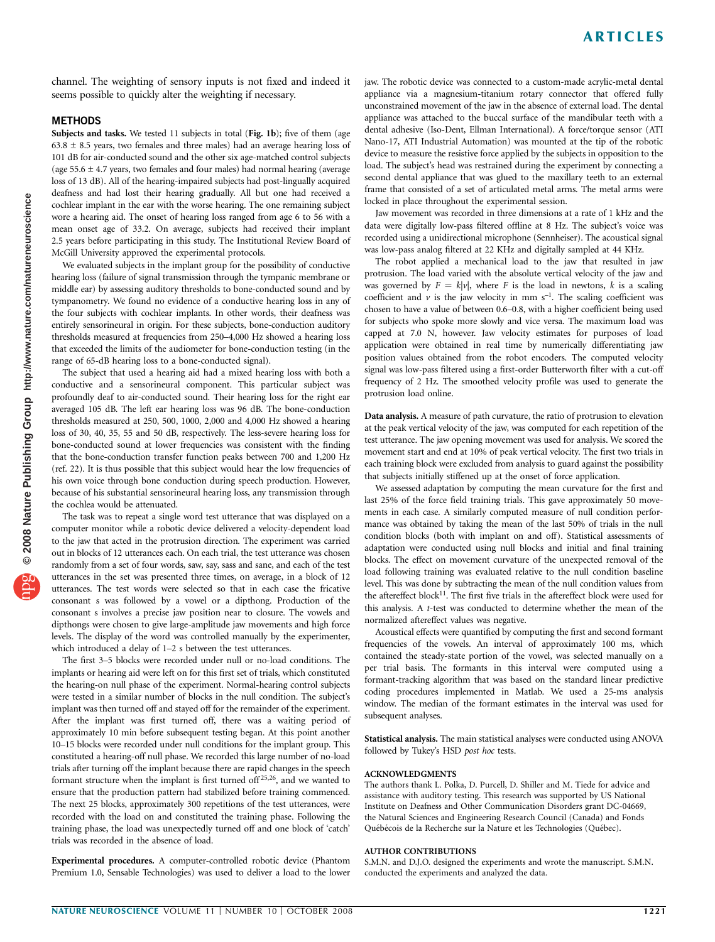channel. The weighting of sensory inputs is not fixed and indeed it seems possible to quickly alter the weighting if necessary.

## METHODS

Subjects and tasks. We tested 11 subjects in total (Fig. 1b); five of them (age  $63.8 \pm 8.5$  years, two females and three males) had an average hearing loss of 101 dB for air-conducted sound and the other six age-matched control subjects (age 55.6  $\pm$  4.7 years, two females and four males) had normal hearing (average loss of 13 dB). All of the hearing-impaired subjects had post-lingually acquired deafness and had lost their hearing gradually. All but one had received a cochlear implant in the ear with the worse hearing. The one remaining subject wore a hearing aid. The onset of hearing loss ranged from age 6 to 56 with a mean onset age of 33.2. On average, subjects had received their implant 2.5 years before participating in this study. The Institutional Review Board of McGill University approved the experimental protocols.

We evaluated subjects in the implant group for the possibility of conductive hearing loss (failure of signal transmission through the tympanic membrane or middle ear) by assessing auditory thresholds to bone-conducted sound and by tympanometry. We found no evidence of a conductive hearing loss in any of the four subjects with cochlear implants. In other words, their deafness was entirely sensorineural in origin. For these subjects, bone-conduction auditory thresholds measured at frequencies from 250–4,000 Hz showed a hearing loss that exceeded the limits of the audiometer for bone-conduction testing (in the range of 65-dB hearing loss to a bone-conducted signal).

The subject that used a hearing aid had a mixed hearing loss with both a conductive and a sensorineural component. This particular subject was profoundly deaf to air-conducted sound. Their hearing loss for the right ear averaged 105 dB. The left ear hearing loss was 96 dB. The bone-conduction thresholds measured at 250, 500, 1000, 2,000 and 4,000 Hz showed a hearing loss of 30, 40, 35, 55 and 50 dB, respectively. The less-severe hearing loss for bone-conducted sound at lower frequencies was consistent with the finding that the bone-conduction transfer function peaks between 700 and 1,200 Hz (ref. 22). It is thus possible that this subject would hear the low frequencies of his own voice through bone conduction during speech production. However, because of his substantial sensorineural hearing loss, any transmission through the cochlea would be attenuated.

The task was to repeat a single word test utterance that was displayed on a computer monitor while a robotic device delivered a velocity-dependent load to the jaw that acted in the protrusion direction. The experiment was carried out in blocks of 12 utterances each. On each trial, the test utterance was chosen randomly from a set of four words, saw, say, sass and sane, and each of the test utterances in the set was presented three times, on average, in a block of 12 utterances. The test words were selected so that in each case the fricative consonant s was followed by a vowel or a dipthong. Production of the consonant s involves a precise jaw position near to closure. The vowels and dipthongs were chosen to give large-amplitude jaw movements and high force levels. The display of the word was controlled manually by the experimenter, which introduced a delay of 1–2 s between the test utterances.

The first 3–5 blocks were recorded under null or no-load conditions. The implants or hearing aid were left on for this first set of trials, which constituted the hearing-on null phase of the experiment. Normal-hearing control subjects were tested in a similar number of blocks in the null condition. The subject's implant was then turned off and stayed off for the remainder of the experiment. After the implant was first turned off, there was a waiting period of approximately 10 min before subsequent testing began. At this point another 10–15 blocks were recorded under null conditions for the implant group. This constituted a hearing-off null phase. We recorded this large number of no-load trials after turning off the implant because there are rapid changes in the speech formant structure when the implant is first turned off [25,26](#page-5-0), and we wanted to ensure that the production pattern had stabilized before training commenced. The next 25 blocks, approximately 300 repetitions of the test utterances, were recorded with the load on and constituted the training phase. Following the training phase, the load was unexpectedly turned off and one block of 'catch' trials was recorded in the absence of load.

Experimental procedures. A computer-controlled robotic device (Phantom Premium 1.0, Sensable Technologies) was used to deliver a load to the lower

jaw. The robotic device was connected to a custom-made acrylic-metal dental appliance via a magnesium-titanium rotary connector that offered fully unconstrained movement of the jaw in the absence of external load. The dental appliance was attached to the buccal surface of the mandibular teeth with a dental adhesive (Iso-Dent, Ellman International). A force/torque sensor (ATI Nano-17, ATI Industrial Automation) was mounted at the tip of the robotic device to measure the resistive force applied by the subjects in opposition to the load. The subject's head was restrained during the experiment by connecting a second dental appliance that was glued to the maxillary teeth to an external frame that consisted of a set of articulated metal arms. The metal arms were locked in place throughout the experimental session.

Jaw movement was recorded in three dimensions at a rate of 1 kHz and the data were digitally low-pass filtered offline at 8 Hz. The subject's voice was recorded using a unidirectional microphone (Sennheiser). The acoustical signal was low-pass analog filtered at 22 KHz and digitally sampled at 44 KHz.

The robot applied a mechanical load to the jaw that resulted in jaw protrusion. The load varied with the absolute vertical velocity of the jaw and was governed by  $F = k|v|$ , where F is the load in newtons, k is a scaling coefficient and  $v$  is the jaw velocity in mm  $s^{-1}$ . The scaling coefficient was chosen to have a value of between 0.6–0.8, with a higher coefficient being used for subjects who spoke more slowly and vice versa. The maximum load was capped at 7.0 N, however. Jaw velocity estimates for purposes of load application were obtained in real time by numerically differentiating jaw position values obtained from the robot encoders. The computed velocity signal was low-pass filtered using a first-order Butterworth filter with a cut-off frequency of 2 Hz. The smoothed velocity profile was used to generate the protrusion load online.

Data analysis. A measure of path curvature, the ratio of protrusion to elevation at the peak vertical velocity of the jaw, was computed for each repetition of the test utterance. The jaw opening movement was used for analysis. We scored the movement start and end at 10% of peak vertical velocity. The first two trials in each training block were excluded from analysis to guard against the possibility that subjects initially stiffened up at the onset of force application.

We assessed adaptation by computing the mean curvature for the first and last 25% of the force field training trials. This gave approximately 50 movements in each case. A similarly computed measure of null condition performance was obtained by taking the mean of the last 50% of trials in the null condition blocks (both with implant on and off). Statistical assessments of adaptation were conducted using null blocks and initial and final training blocks. The effect on movement curvature of the unexpected removal of the load following training was evaluated relative to the null condition baseline level. This was done by subtracting the mean of the null condition values from the aftereffect block<sup>11</sup>. The first five trials in the aftereffect block were used for this analysis. A t-test was conducted to determine whether the mean of the normalized aftereffect values was negative.

Acoustical effects were quantified by computing the first and second formant frequencies of the vowels. An interval of approximately 100 ms, which contained the steady-state portion of the vowel, was selected manually on a per trial basis. The formants in this interval were computed using a formant-tracking algorithm that was based on the standard linear predictive coding procedures implemented in Matlab. We used a 25-ms analysis window. The median of the formant estimates in the interval was used for subsequent analyses.

Statistical analysis. The main statistical analyses were conducted using ANOVA followed by Tukey's HSD post hoc tests.

### ACKNOWLEDGMENTS

The authors thank L. Polka, D. Purcell, D. Shiller and M. Tiede for advice and assistance with auditory testing. This research was supported by US National Institute on Deafness and Other Communication Disorders grant DC-04669, the Natural Sciences and Engineering Research Council (Canada) and Fonds Québécois de la Recherche sur la Nature et les Technologies (Québec).

#### AUTHOR CONTRIBUTIONS

S.M.N. and D.J.O. designed the experiments and wrote the manuscript. S.M.N. conducted the experiments and analyzed the data.